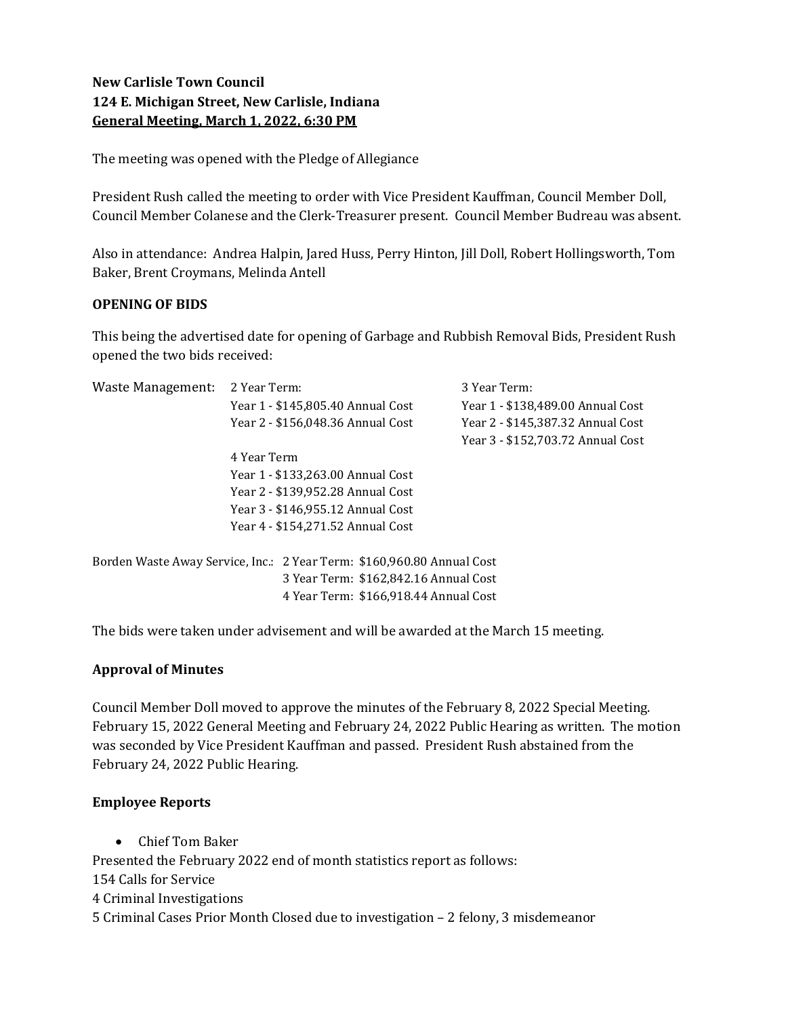# New Carlisle Town Council 124 E. Michigan Street, New Carlisle, Indiana General Meeting, March 1, 2022, 6:30 PM

The meeting was opened with the Pledge of Allegiance

President Rush called the meeting to order with Vice President Kauffman, Council Member Doll, Council Member Colanese and the Clerk-Treasurer present. Council Member Budreau was absent.

Also in attendance: Andrea Halpin, Jared Huss, Perry Hinton, Jill Doll, Robert Hollingsworth, Tom Baker, Brent Croymans, Melinda Antell

## OPENING OF BIDS

This being the advertised date for opening of Garbage and Rubbish Removal Bids, President Rush opened the two bids received:

| Waste Management:                                                      | 2 Year Term:                          | 3 Year Term:                      |
|------------------------------------------------------------------------|---------------------------------------|-----------------------------------|
|                                                                        | Year 1 - \$145,805.40 Annual Cost     | Year 1 - \$138,489.00 Annual Cost |
|                                                                        | Year 2 - \$156,048.36 Annual Cost     | Year 2 - \$145,387.32 Annual Cost |
|                                                                        |                                       | Year 3 - \$152,703.72 Annual Cost |
|                                                                        | 4 Year Term                           |                                   |
|                                                                        | Year 1 - \$133,263.00 Annual Cost     |                                   |
|                                                                        | Year 2 - \$139,952.28 Annual Cost     |                                   |
|                                                                        | Year 3 - \$146,955.12 Annual Cost     |                                   |
|                                                                        | Year 4 - \$154,271.52 Annual Cost     |                                   |
|                                                                        |                                       |                                   |
| Borden Waste Away Service, Inc.: 2 Year Term: \$160,960.80 Annual Cost |                                       |                                   |
| 3 Year Term: \$162,842.16 Annual Cost                                  |                                       |                                   |
|                                                                        | 4 Year Term: \$166,918.44 Annual Cost |                                   |

The bids were taken under advisement and will be awarded at the March 15 meeting.

## Approval of Minutes

Council Member Doll moved to approve the minutes of the February 8, 2022 Special Meeting. February 15, 2022 General Meeting and February 24, 2022 Public Hearing as written. The motion was seconded by Vice President Kauffman and passed. President Rush abstained from the February 24, 2022 Public Hearing.

## Employee Reports

 Chief Tom Baker Presented the February 2022 end of month statistics report as follows: 154 Calls for Service 4 Criminal Investigations 5 Criminal Cases Prior Month Closed due to investigation – 2 felony, 3 misdemeanor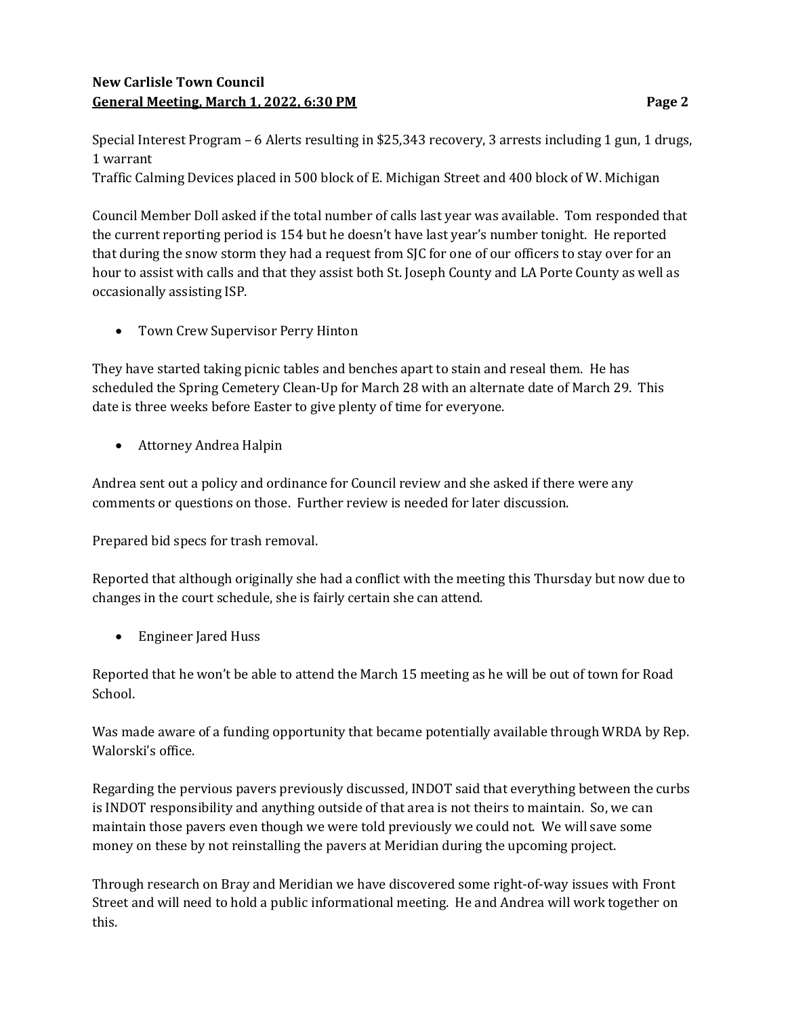# New Carlisle Town Council General Meeting, March 1, 2022, 6:30 PM **Page 2** Page 2

Special Interest Program – 6 Alerts resulting in \$25,343 recovery, 3 arrests including 1 gun, 1 drugs, 1 warrant

Traffic Calming Devices placed in 500 block of E. Michigan Street and 400 block of W. Michigan

Council Member Doll asked if the total number of calls last year was available. Tom responded that the current reporting period is 154 but he doesn't have last year's number tonight. He reported that during the snow storm they had a request from SJC for one of our officers to stay over for an hour to assist with calls and that they assist both St. Joseph County and LA Porte County as well as occasionally assisting ISP.

Town Crew Supervisor Perry Hinton

They have started taking picnic tables and benches apart to stain and reseal them. He has scheduled the Spring Cemetery Clean-Up for March 28 with an alternate date of March 29. This date is three weeks before Easter to give plenty of time for everyone.

Attorney Andrea Halpin

Andrea sent out a policy and ordinance for Council review and she asked if there were any comments or questions on those. Further review is needed for later discussion.

Prepared bid specs for trash removal.

Reported that although originally she had a conflict with the meeting this Thursday but now due to changes in the court schedule, she is fairly certain she can attend.

• Engineer Jared Huss

Reported that he won't be able to attend the March 15 meeting as he will be out of town for Road School.

Was made aware of a funding opportunity that became potentially available through WRDA by Rep. Walorski's office.

Regarding the pervious pavers previously discussed, INDOT said that everything between the curbs is INDOT responsibility and anything outside of that area is not theirs to maintain. So, we can maintain those pavers even though we were told previously we could not. We will save some money on these by not reinstalling the pavers at Meridian during the upcoming project.

Through research on Bray and Meridian we have discovered some right-of-way issues with Front Street and will need to hold a public informational meeting. He and Andrea will work together on this.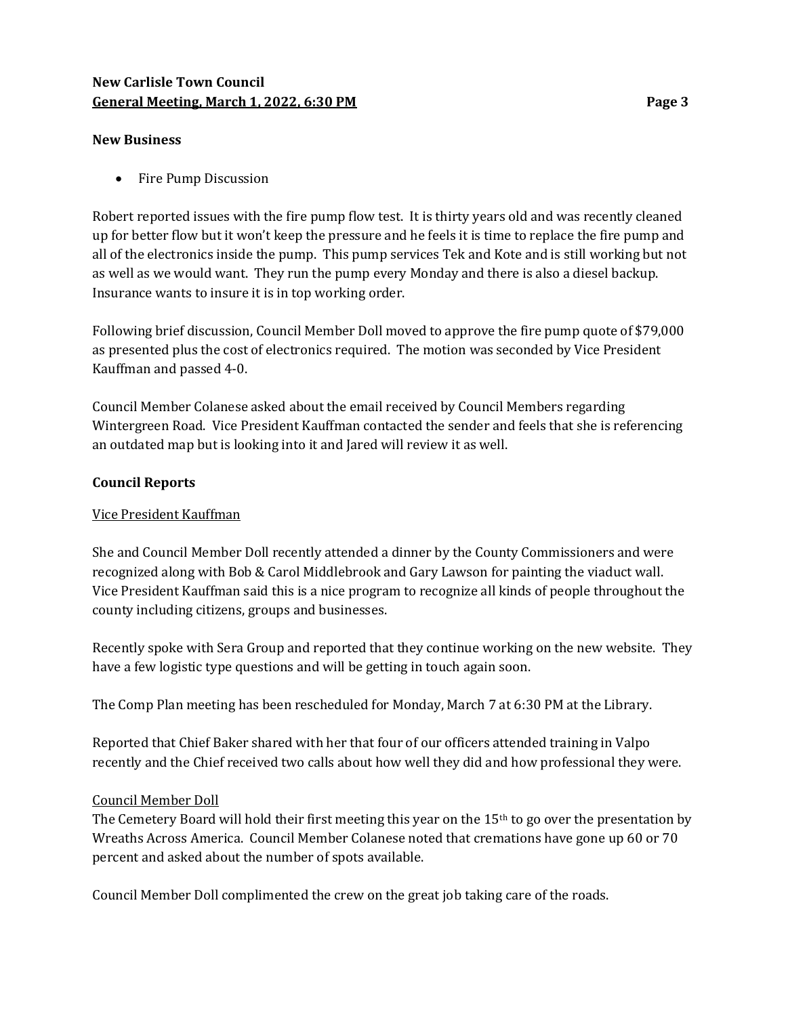## New Carlisle Town Council General Meeting, March 1, 2022, 6:30 PM **Page 3** Page 3

#### New Business

• Fire Pump Discussion

Robert reported issues with the fire pump flow test. It is thirty years old and was recently cleaned up for better flow but it won't keep the pressure and he feels it is time to replace the fire pump and all of the electronics inside the pump. This pump services Tek and Kote and is still working but not as well as we would want. They run the pump every Monday and there is also a diesel backup. Insurance wants to insure it is in top working order.

Following brief discussion, Council Member Doll moved to approve the fire pump quote of \$79,000 as presented plus the cost of electronics required. The motion was seconded by Vice President Kauffman and passed 4-0.

Council Member Colanese asked about the email received by Council Members regarding Wintergreen Road. Vice President Kauffman contacted the sender and feels that she is referencing an outdated map but is looking into it and Jared will review it as well.

## Council Reports

## Vice President Kauffman

She and Council Member Doll recently attended a dinner by the County Commissioners and were recognized along with Bob & Carol Middlebrook and Gary Lawson for painting the viaduct wall. Vice President Kauffman said this is a nice program to recognize all kinds of people throughout the county including citizens, groups and businesses.

Recently spoke with Sera Group and reported that they continue working on the new website. They have a few logistic type questions and will be getting in touch again soon.

The Comp Plan meeting has been rescheduled for Monday, March 7 at 6:30 PM at the Library.

Reported that Chief Baker shared with her that four of our officers attended training in Valpo recently and the Chief received two calls about how well they did and how professional they were.

## Council Member Doll

The Cemetery Board will hold their first meeting this year on the  $15<sup>th</sup>$  to go over the presentation by Wreaths Across America. Council Member Colanese noted that cremations have gone up 60 or 70 percent and asked about the number of spots available.

Council Member Doll complimented the crew on the great job taking care of the roads.